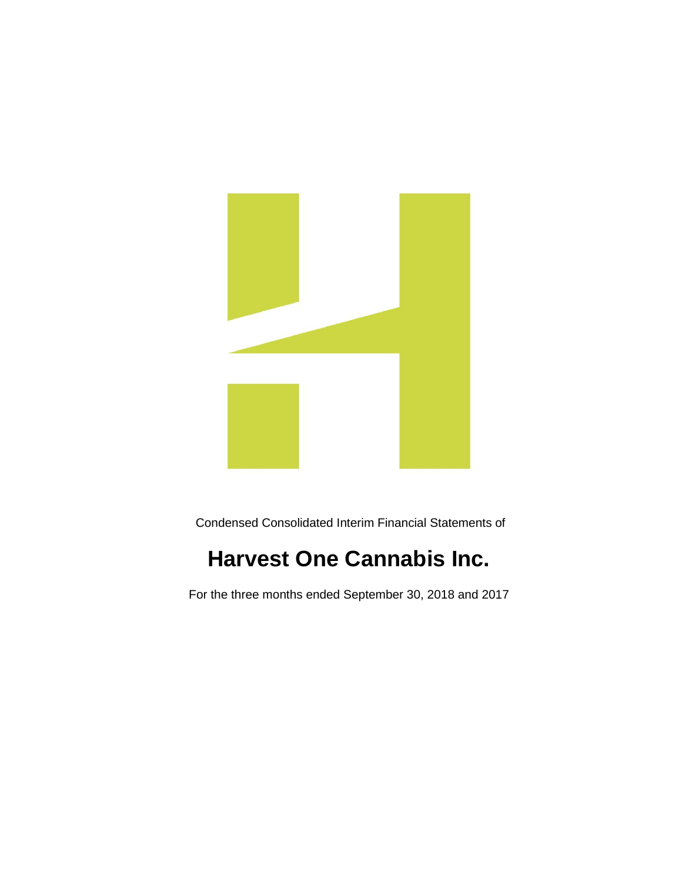

Condensed Consolidated Interim Financial Statements of

# **Harvest One Cannabis Inc.**

For the three months ended September 30, 2018 and 2017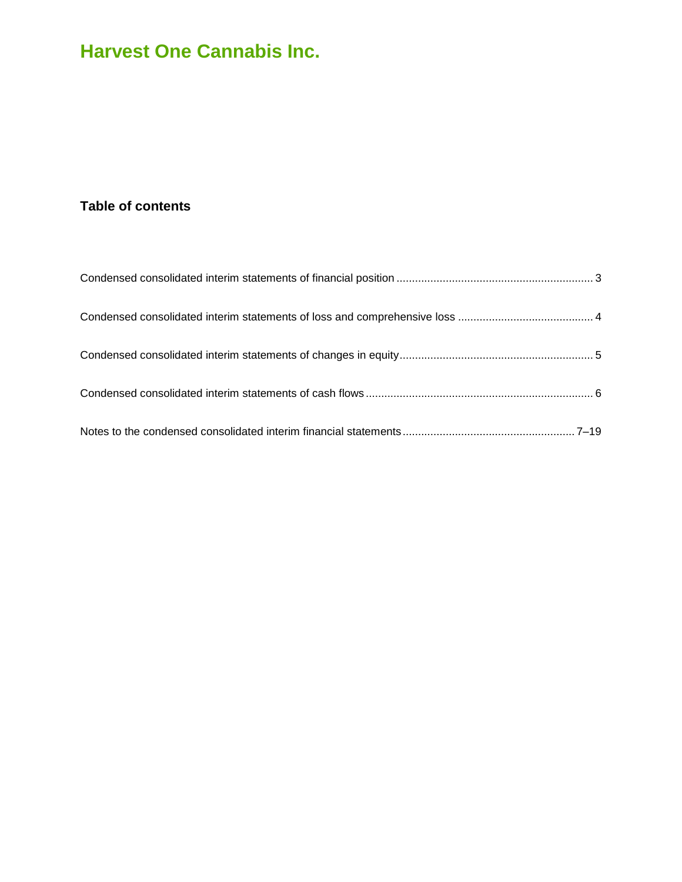### **Table of contents**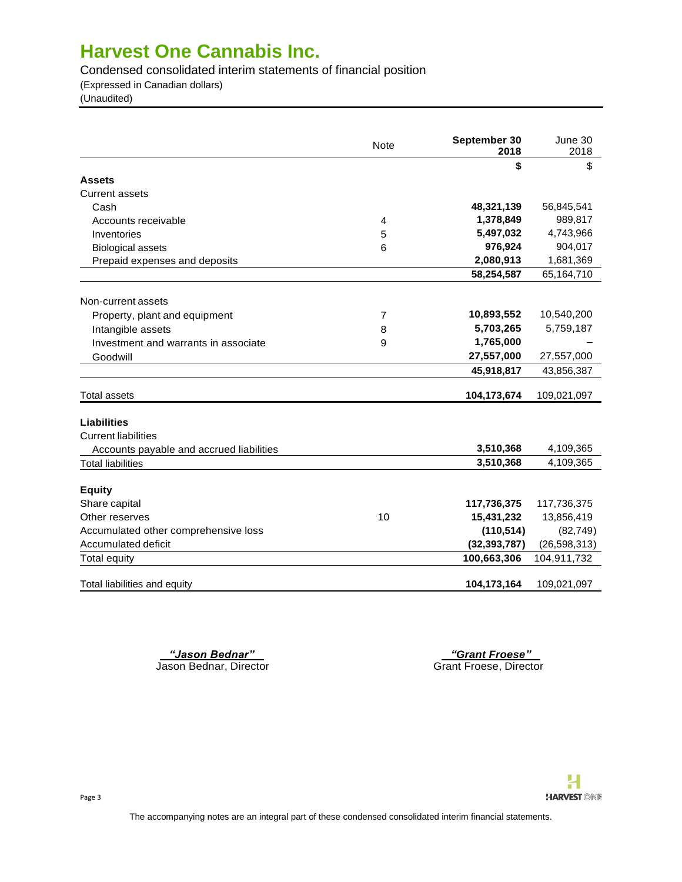Condensed consolidated interim statements of financial position

(Expressed in Canadian dollars)

(Unaudited)

|                                          | <b>Note</b> | September 30<br>2018 | June 30<br>2018 |
|------------------------------------------|-------------|----------------------|-----------------|
|                                          |             | \$                   | \$              |
| <b>Assets</b>                            |             |                      |                 |
| Current assets                           |             |                      |                 |
| Cash                                     |             | 48,321,139           | 56,845,541      |
| Accounts receivable                      | 4           | 1,378,849            | 989,817         |
| Inventories                              | 5           | 5,497,032            | 4,743,966       |
| <b>Biological assets</b>                 | 6           | 976,924              | 904,017         |
| Prepaid expenses and deposits            |             | 2,080,913            | 1,681,369       |
|                                          |             | 58,254,587           | 65,164,710      |
| Non-current assets                       |             |                      |                 |
| Property, plant and equipment            | 7           | 10,893,552           | 10,540,200      |
| Intangible assets                        | 8           | 5,703,265            | 5,759,187       |
| Investment and warrants in associate     | 9           | 1,765,000            |                 |
| Goodwill                                 |             | 27,557,000           | 27,557,000      |
|                                          |             | 45,918,817           | 43,856,387      |
| <b>Total assets</b>                      |             | 104,173,674          | 109,021,097     |
| <b>Liabilities</b>                       |             |                      |                 |
| <b>Current liabilities</b>               |             |                      |                 |
| Accounts payable and accrued liabilities |             | 3,510,368            | 4,109,365       |
| <b>Total liabilities</b>                 |             | 3,510,368            | 4,109,365       |
|                                          |             |                      |                 |
| <b>Equity</b>                            |             |                      |                 |
| Share capital                            |             | 117,736,375          | 117,736,375     |
| Other reserves                           | 10          | 15,431,232           | 13,856,419      |
| Accumulated other comprehensive loss     |             | (110, 514)           | (82, 749)       |
| Accumulated deficit                      |             | (32, 393, 787)       | (26, 598, 313)  |
| <b>Total equity</b>                      |             | 100,663,306          | 104,911,732     |
| Total liabilities and equity             |             | 104,173,164          | 109,021,097     |

 *"Jason Bednar" "Grant Froese"* 

Jason Bednar, Director Grant Froese, Director Grant Froese, Director

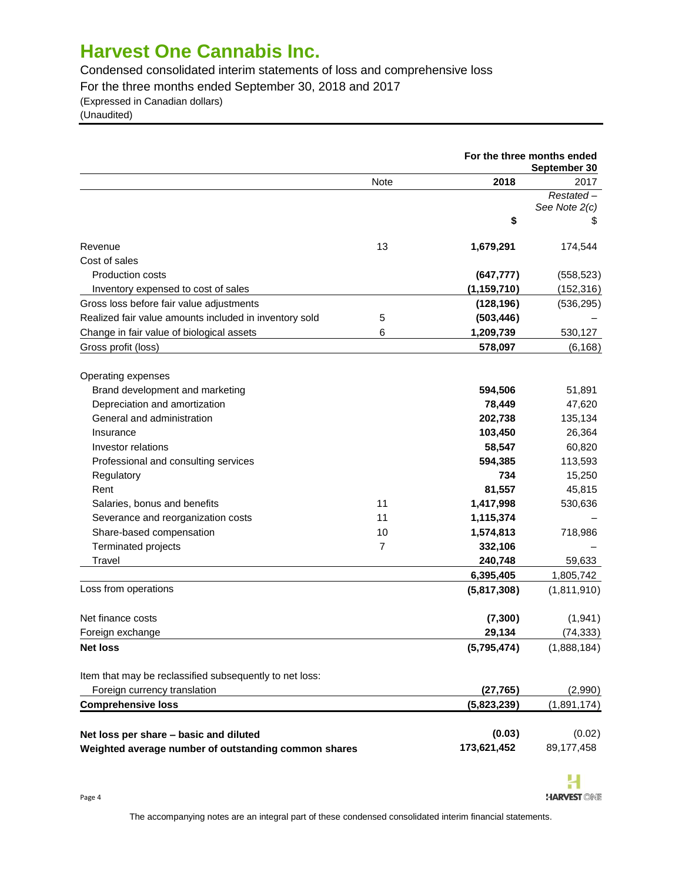Condensed consolidated interim statements of loss and comprehensive loss

For the three months ended September 30, 2018 and 2017

(Expressed in Canadian dollars)

(Unaudited)

| <b>Note</b><br>2018<br>2017<br>$Restated -$<br>See Note 2(c)<br>\$<br>P<br>13<br>Revenue<br>1,679,291<br>174,544<br>Cost of sales<br><b>Production costs</b><br>(647, 777)<br>(558, 523)<br>(1, 159, 710)<br>(152, 316)<br>Inventory expensed to cost of sales<br>Gross loss before fair value adjustments<br>(128, 196)<br>(536, 295)<br>Realized fair value amounts included in inventory sold<br>5<br>(503, 446)<br>Change in fair value of biological assets<br>6<br>1,209,739<br>530,127<br>Gross profit (loss)<br>578,097<br>(6, 168)<br>Operating expenses<br>Brand development and marketing<br>51,891<br>594,506<br>Depreciation and amortization<br>78,449<br>47,620<br>General and administration<br>135,134<br>202,738<br>26,364<br>103,450<br>Insurance<br>60,820<br>Investor relations<br>58,547<br>Professional and consulting services<br>594,385<br>113,593<br>Regulatory<br>734<br>15,250<br>45,815<br>Rent<br>81,557<br>Salaries, bonus and benefits<br>11<br>1,417,998<br>530,636<br>Severance and reorganization costs<br>11<br>1,115,374<br>Share-based compensation<br>10<br>1,574,813<br>718,986<br>Terminated projects<br>7<br>332,106<br>Travel<br>240,748<br>59,633<br>1,805,742<br>6,395,405<br>Loss from operations<br>(1,811,910)<br>(5,817,308)<br>Net finance costs<br>(7, 300)<br>(1,941)<br>29,134<br>(74, 333)<br>Foreign exchange<br>Net loss<br>(5,795,474)<br>Item that may be reclassified subsequently to net loss:<br>Foreign currency translation<br>(27, 765)<br>(2,990)<br><b>Comprehensive loss</b><br>(5,823,239)<br>(1,891,174)<br>(0.03)<br>Net loss per share - basic and diluted<br>173,621,452<br>89,177,458<br>Weighted average number of outstanding common shares |  | For the three months ended<br>September 30 |             |  |
|-------------------------------------------------------------------------------------------------------------------------------------------------------------------------------------------------------------------------------------------------------------------------------------------------------------------------------------------------------------------------------------------------------------------------------------------------------------------------------------------------------------------------------------------------------------------------------------------------------------------------------------------------------------------------------------------------------------------------------------------------------------------------------------------------------------------------------------------------------------------------------------------------------------------------------------------------------------------------------------------------------------------------------------------------------------------------------------------------------------------------------------------------------------------------------------------------------------------------------------------------------------------------------------------------------------------------------------------------------------------------------------------------------------------------------------------------------------------------------------------------------------------------------------------------------------------------------------------------------------------------------------------------------------------------------------------------------------------------|--|--------------------------------------------|-------------|--|
|                                                                                                                                                                                                                                                                                                                                                                                                                                                                                                                                                                                                                                                                                                                                                                                                                                                                                                                                                                                                                                                                                                                                                                                                                                                                                                                                                                                                                                                                                                                                                                                                                                                                                                                         |  |                                            |             |  |
|                                                                                                                                                                                                                                                                                                                                                                                                                                                                                                                                                                                                                                                                                                                                                                                                                                                                                                                                                                                                                                                                                                                                                                                                                                                                                                                                                                                                                                                                                                                                                                                                                                                                                                                         |  |                                            |             |  |
|                                                                                                                                                                                                                                                                                                                                                                                                                                                                                                                                                                                                                                                                                                                                                                                                                                                                                                                                                                                                                                                                                                                                                                                                                                                                                                                                                                                                                                                                                                                                                                                                                                                                                                                         |  |                                            |             |  |
|                                                                                                                                                                                                                                                                                                                                                                                                                                                                                                                                                                                                                                                                                                                                                                                                                                                                                                                                                                                                                                                                                                                                                                                                                                                                                                                                                                                                                                                                                                                                                                                                                                                                                                                         |  |                                            |             |  |
|                                                                                                                                                                                                                                                                                                                                                                                                                                                                                                                                                                                                                                                                                                                                                                                                                                                                                                                                                                                                                                                                                                                                                                                                                                                                                                                                                                                                                                                                                                                                                                                                                                                                                                                         |  |                                            |             |  |
|                                                                                                                                                                                                                                                                                                                                                                                                                                                                                                                                                                                                                                                                                                                                                                                                                                                                                                                                                                                                                                                                                                                                                                                                                                                                                                                                                                                                                                                                                                                                                                                                                                                                                                                         |  |                                            |             |  |
|                                                                                                                                                                                                                                                                                                                                                                                                                                                                                                                                                                                                                                                                                                                                                                                                                                                                                                                                                                                                                                                                                                                                                                                                                                                                                                                                                                                                                                                                                                                                                                                                                                                                                                                         |  |                                            |             |  |
|                                                                                                                                                                                                                                                                                                                                                                                                                                                                                                                                                                                                                                                                                                                                                                                                                                                                                                                                                                                                                                                                                                                                                                                                                                                                                                                                                                                                                                                                                                                                                                                                                                                                                                                         |  |                                            |             |  |
|                                                                                                                                                                                                                                                                                                                                                                                                                                                                                                                                                                                                                                                                                                                                                                                                                                                                                                                                                                                                                                                                                                                                                                                                                                                                                                                                                                                                                                                                                                                                                                                                                                                                                                                         |  |                                            |             |  |
|                                                                                                                                                                                                                                                                                                                                                                                                                                                                                                                                                                                                                                                                                                                                                                                                                                                                                                                                                                                                                                                                                                                                                                                                                                                                                                                                                                                                                                                                                                                                                                                                                                                                                                                         |  |                                            |             |  |
|                                                                                                                                                                                                                                                                                                                                                                                                                                                                                                                                                                                                                                                                                                                                                                                                                                                                                                                                                                                                                                                                                                                                                                                                                                                                                                                                                                                                                                                                                                                                                                                                                                                                                                                         |  |                                            |             |  |
|                                                                                                                                                                                                                                                                                                                                                                                                                                                                                                                                                                                                                                                                                                                                                                                                                                                                                                                                                                                                                                                                                                                                                                                                                                                                                                                                                                                                                                                                                                                                                                                                                                                                                                                         |  |                                            |             |  |
|                                                                                                                                                                                                                                                                                                                                                                                                                                                                                                                                                                                                                                                                                                                                                                                                                                                                                                                                                                                                                                                                                                                                                                                                                                                                                                                                                                                                                                                                                                                                                                                                                                                                                                                         |  |                                            |             |  |
|                                                                                                                                                                                                                                                                                                                                                                                                                                                                                                                                                                                                                                                                                                                                                                                                                                                                                                                                                                                                                                                                                                                                                                                                                                                                                                                                                                                                                                                                                                                                                                                                                                                                                                                         |  |                                            |             |  |
|                                                                                                                                                                                                                                                                                                                                                                                                                                                                                                                                                                                                                                                                                                                                                                                                                                                                                                                                                                                                                                                                                                                                                                                                                                                                                                                                                                                                                                                                                                                                                                                                                                                                                                                         |  |                                            |             |  |
|                                                                                                                                                                                                                                                                                                                                                                                                                                                                                                                                                                                                                                                                                                                                                                                                                                                                                                                                                                                                                                                                                                                                                                                                                                                                                                                                                                                                                                                                                                                                                                                                                                                                                                                         |  |                                            |             |  |
|                                                                                                                                                                                                                                                                                                                                                                                                                                                                                                                                                                                                                                                                                                                                                                                                                                                                                                                                                                                                                                                                                                                                                                                                                                                                                                                                                                                                                                                                                                                                                                                                                                                                                                                         |  |                                            |             |  |
|                                                                                                                                                                                                                                                                                                                                                                                                                                                                                                                                                                                                                                                                                                                                                                                                                                                                                                                                                                                                                                                                                                                                                                                                                                                                                                                                                                                                                                                                                                                                                                                                                                                                                                                         |  |                                            |             |  |
|                                                                                                                                                                                                                                                                                                                                                                                                                                                                                                                                                                                                                                                                                                                                                                                                                                                                                                                                                                                                                                                                                                                                                                                                                                                                                                                                                                                                                                                                                                                                                                                                                                                                                                                         |  |                                            |             |  |
|                                                                                                                                                                                                                                                                                                                                                                                                                                                                                                                                                                                                                                                                                                                                                                                                                                                                                                                                                                                                                                                                                                                                                                                                                                                                                                                                                                                                                                                                                                                                                                                                                                                                                                                         |  |                                            |             |  |
|                                                                                                                                                                                                                                                                                                                                                                                                                                                                                                                                                                                                                                                                                                                                                                                                                                                                                                                                                                                                                                                                                                                                                                                                                                                                                                                                                                                                                                                                                                                                                                                                                                                                                                                         |  |                                            |             |  |
|                                                                                                                                                                                                                                                                                                                                                                                                                                                                                                                                                                                                                                                                                                                                                                                                                                                                                                                                                                                                                                                                                                                                                                                                                                                                                                                                                                                                                                                                                                                                                                                                                                                                                                                         |  |                                            |             |  |
|                                                                                                                                                                                                                                                                                                                                                                                                                                                                                                                                                                                                                                                                                                                                                                                                                                                                                                                                                                                                                                                                                                                                                                                                                                                                                                                                                                                                                                                                                                                                                                                                                                                                                                                         |  |                                            |             |  |
|                                                                                                                                                                                                                                                                                                                                                                                                                                                                                                                                                                                                                                                                                                                                                                                                                                                                                                                                                                                                                                                                                                                                                                                                                                                                                                                                                                                                                                                                                                                                                                                                                                                                                                                         |  |                                            |             |  |
|                                                                                                                                                                                                                                                                                                                                                                                                                                                                                                                                                                                                                                                                                                                                                                                                                                                                                                                                                                                                                                                                                                                                                                                                                                                                                                                                                                                                                                                                                                                                                                                                                                                                                                                         |  |                                            |             |  |
|                                                                                                                                                                                                                                                                                                                                                                                                                                                                                                                                                                                                                                                                                                                                                                                                                                                                                                                                                                                                                                                                                                                                                                                                                                                                                                                                                                                                                                                                                                                                                                                                                                                                                                                         |  |                                            |             |  |
|                                                                                                                                                                                                                                                                                                                                                                                                                                                                                                                                                                                                                                                                                                                                                                                                                                                                                                                                                                                                                                                                                                                                                                                                                                                                                                                                                                                                                                                                                                                                                                                                                                                                                                                         |  |                                            |             |  |
|                                                                                                                                                                                                                                                                                                                                                                                                                                                                                                                                                                                                                                                                                                                                                                                                                                                                                                                                                                                                                                                                                                                                                                                                                                                                                                                                                                                                                                                                                                                                                                                                                                                                                                                         |  |                                            |             |  |
|                                                                                                                                                                                                                                                                                                                                                                                                                                                                                                                                                                                                                                                                                                                                                                                                                                                                                                                                                                                                                                                                                                                                                                                                                                                                                                                                                                                                                                                                                                                                                                                                                                                                                                                         |  |                                            |             |  |
|                                                                                                                                                                                                                                                                                                                                                                                                                                                                                                                                                                                                                                                                                                                                                                                                                                                                                                                                                                                                                                                                                                                                                                                                                                                                                                                                                                                                                                                                                                                                                                                                                                                                                                                         |  |                                            |             |  |
|                                                                                                                                                                                                                                                                                                                                                                                                                                                                                                                                                                                                                                                                                                                                                                                                                                                                                                                                                                                                                                                                                                                                                                                                                                                                                                                                                                                                                                                                                                                                                                                                                                                                                                                         |  |                                            | (1,888,184) |  |
|                                                                                                                                                                                                                                                                                                                                                                                                                                                                                                                                                                                                                                                                                                                                                                                                                                                                                                                                                                                                                                                                                                                                                                                                                                                                                                                                                                                                                                                                                                                                                                                                                                                                                                                         |  |                                            |             |  |
|                                                                                                                                                                                                                                                                                                                                                                                                                                                                                                                                                                                                                                                                                                                                                                                                                                                                                                                                                                                                                                                                                                                                                                                                                                                                                                                                                                                                                                                                                                                                                                                                                                                                                                                         |  |                                            |             |  |
|                                                                                                                                                                                                                                                                                                                                                                                                                                                                                                                                                                                                                                                                                                                                                                                                                                                                                                                                                                                                                                                                                                                                                                                                                                                                                                                                                                                                                                                                                                                                                                                                                                                                                                                         |  |                                            |             |  |
|                                                                                                                                                                                                                                                                                                                                                                                                                                                                                                                                                                                                                                                                                                                                                                                                                                                                                                                                                                                                                                                                                                                                                                                                                                                                                                                                                                                                                                                                                                                                                                                                                                                                                                                         |  |                                            |             |  |
|                                                                                                                                                                                                                                                                                                                                                                                                                                                                                                                                                                                                                                                                                                                                                                                                                                                                                                                                                                                                                                                                                                                                                                                                                                                                                                                                                                                                                                                                                                                                                                                                                                                                                                                         |  |                                            | (0.02)      |  |
|                                                                                                                                                                                                                                                                                                                                                                                                                                                                                                                                                                                                                                                                                                                                                                                                                                                                                                                                                                                                                                                                                                                                                                                                                                                                                                                                                                                                                                                                                                                                                                                                                                                                                                                         |  |                                            |             |  |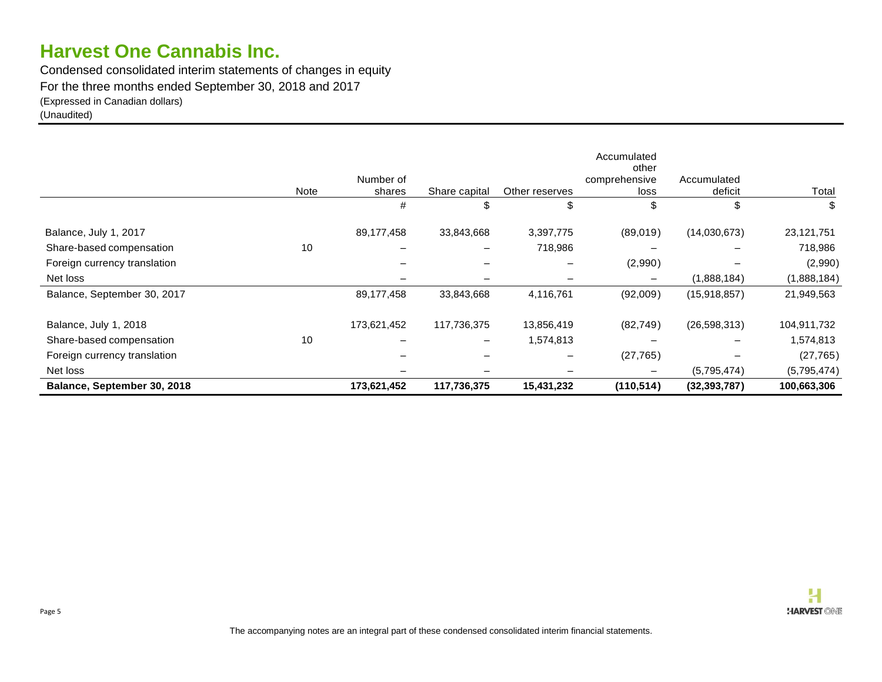Condensed consolidated interim statements of changes in equity For the three months ended September 30, 2018 and 2017 (Expressed in Canadian dollars) (Unaudited)

|                              |             |                     |               |                | Accumulated<br>other  |                        |             |
|------------------------------|-------------|---------------------|---------------|----------------|-----------------------|------------------------|-------------|
|                              | <b>Note</b> | Number of<br>shares | Share capital | Other reserves | comprehensive<br>loss | Accumulated<br>deficit | Total       |
|                              |             | #                   | \$            | \$             | \$.                   | \$                     | \$          |
| Balance, July 1, 2017        |             | 89,177,458          | 33,843,668    | 3,397,775      | (89,019)              | (14,030,673)           | 23,121,751  |
| Share-based compensation     | 10          |                     |               | 718,986        |                       |                        | 718,986     |
| Foreign currency translation |             |                     |               |                | (2,990)               |                        | (2,990)     |
| Net loss                     |             |                     |               |                | $\qquad \qquad$       | (1,888,184)            | (1,888,184) |
| Balance, September 30, 2017  |             | 89,177,458          | 33,843,668    | 4,116,761      | (92,009)              | (15,918,857)           | 21,949,563  |
| Balance, July 1, 2018        |             | 173,621,452         | 117,736,375   | 13,856,419     | (82, 749)             | (26, 598, 313)         | 104,911,732 |
| Share-based compensation     | 10          |                     |               | 1,574,813      |                       |                        | 1,574,813   |
| Foreign currency translation |             |                     |               |                | (27, 765)             |                        | (27, 765)   |
| Net loss                     |             |                     |               |                | $\qquad \qquad$       | (5,795,474)            | (5,795,474) |
| Balance, September 30, 2018  |             | 173,621,452         | 117,736,375   | 15,431,232     | (110, 514)            | (32, 393, 787)         | 100,663,306 |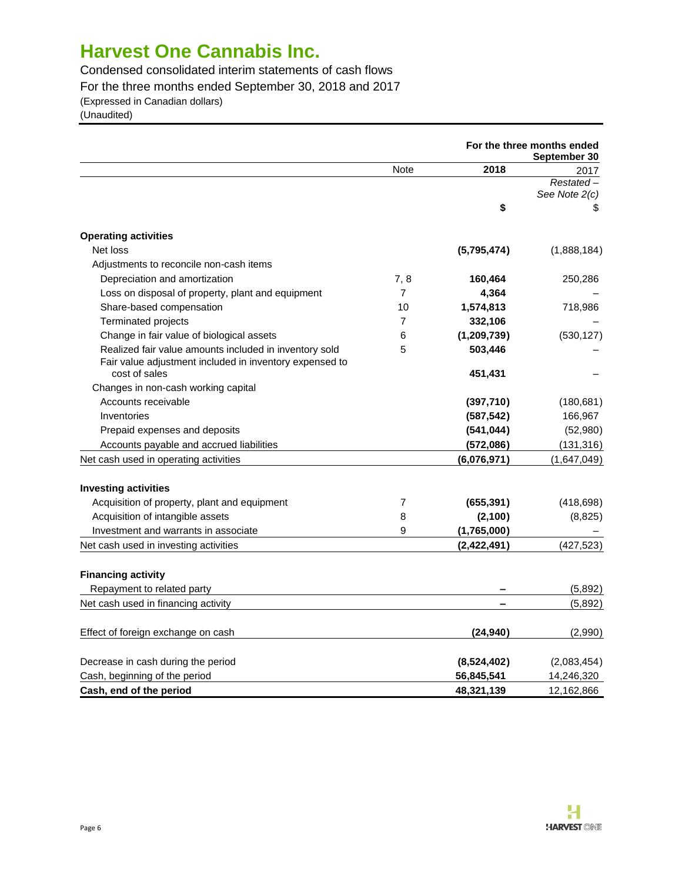Condensed consolidated interim statements of cash flows

For the three months ended September 30, 2018 and 2017

(Expressed in Canadian dollars)

(Unaudited)

|                                                         |                |               | For the three months ended<br>September 30 |
|---------------------------------------------------------|----------------|---------------|--------------------------------------------|
|                                                         | <b>Note</b>    | 2018          | 2017                                       |
|                                                         |                |               | Restated-                                  |
|                                                         |                |               | See Note 2(c)                              |
|                                                         |                | \$            | \$                                         |
| <b>Operating activities</b>                             |                |               |                                            |
| Net loss                                                |                | (5,795,474)   | (1,888,184)                                |
| Adjustments to reconcile non-cash items                 |                |               |                                            |
| Depreciation and amortization                           | 7, 8           | 160,464       | 250,286                                    |
| Loss on disposal of property, plant and equipment       | $\overline{7}$ | 4,364         |                                            |
| Share-based compensation                                | 10             | 1,574,813     | 718,986                                    |
| <b>Terminated projects</b>                              | $\overline{7}$ | 332,106       |                                            |
| Change in fair value of biological assets               | 6              | (1, 209, 739) | (530, 127)                                 |
| Realized fair value amounts included in inventory sold  | 5              | 503,446       |                                            |
| Fair value adjustment included in inventory expensed to |                |               |                                            |
| cost of sales                                           |                | 451,431       |                                            |
| Changes in non-cash working capital                     |                |               |                                            |
| Accounts receivable                                     |                | (397, 710)    | (180, 681)                                 |
| Inventories                                             |                | (587, 542)    | 166,967                                    |
| Prepaid expenses and deposits                           |                | (541, 044)    | (52,980)                                   |
| Accounts payable and accrued liabilities                |                | (572,086)     | (131, 316)                                 |
| Net cash used in operating activities                   |                | (6,076,971)   | (1,647,049)                                |
| <b>Investing activities</b>                             |                |               |                                            |
| Acquisition of property, plant and equipment            | 7              | (655, 391)    | (418, 698)                                 |
| Acquisition of intangible assets                        | 8              | (2, 100)      | (8,825)                                    |
| Investment and warrants in associate                    | 9              | (1,765,000)   |                                            |
| Net cash used in investing activities                   |                | (2,422,491)   | (427, 523)                                 |
| <b>Financing activity</b>                               |                |               |                                            |
| Repayment to related party                              |                |               | (5,892)                                    |
| Net cash used in financing activity                     |                |               | (5,892)                                    |
| Effect of foreign exchange on cash                      |                | (24, 940)     | (2,990)                                    |
| Decrease in cash during the period                      |                | (8,524,402)   | (2,083,454)                                |
| Cash, beginning of the period                           |                | 56,845,541    | 14,246,320                                 |
| Cash, end of the period                                 |                | 48,321,139    | 12,162,866                                 |

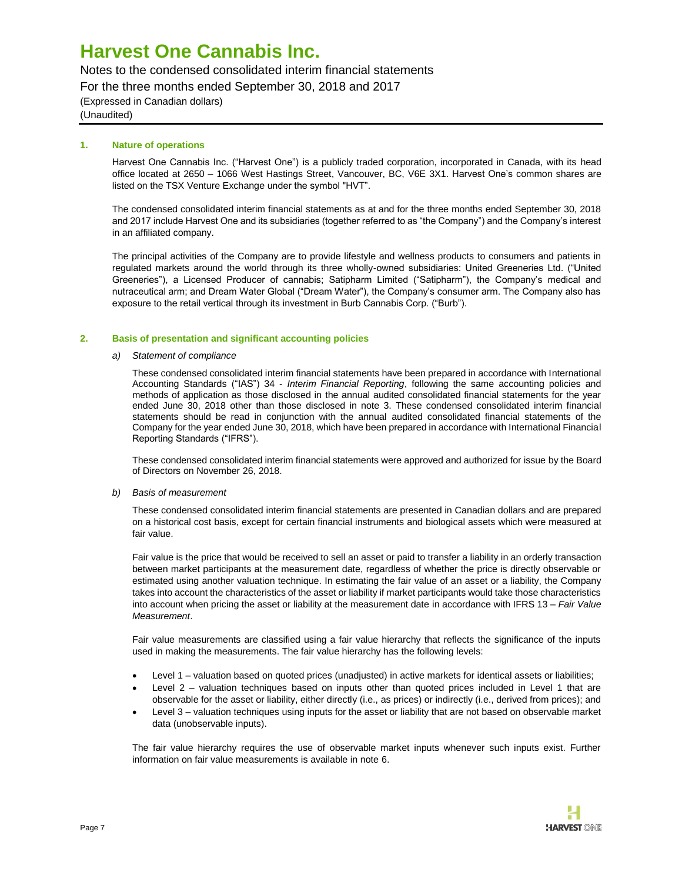### Notes to the condensed consolidated interim financial statements

For the three months ended September 30, 2018 and 2017

(Expressed in Canadian dollars) (Unaudited)

### **1. Nature of operations**

Harvest One Cannabis Inc. ("Harvest One") is a publicly traded corporation, incorporated in Canada, with its head office located at 2650 – 1066 West Hastings Street, Vancouver, BC, V6E 3X1. Harvest One's common shares are listed on the TSX Venture Exchange under the symbol "HVT".

The condensed consolidated interim financial statements as at and for the three months ended September 30, 2018 and 2017 include Harvest One and its subsidiaries (together referred to as "the Company") and the Company's interest in an affiliated company.

The principal activities of the Company are to provide lifestyle and wellness products to consumers and patients in regulated markets around the world through its three wholly-owned subsidiaries: United Greeneries Ltd. ("United Greeneries"), a Licensed Producer of cannabis; Satipharm Limited ("Satipharm"), the Company's medical and nutraceutical arm; and Dream Water Global ("Dream Water"), the Company's consumer arm. The Company also has exposure to the retail vertical through its investment in Burb Cannabis Corp. ("Burb").

### **2. Basis of presentation and significant accounting policies**

### *a) Statement of compliance*

These condensed consolidated interim financial statements have been prepared in accordance with International Accounting Standards ("IAS") 34 - *Interim Financial Reporting*, following the same accounting policies and methods of application as those disclosed in the annual audited consolidated financial statements for the year ended June 30, 2018 other than those disclosed in note 3. These condensed consolidated interim financial statements should be read in conjunction with the annual audited consolidated financial statements of the Company for the year ended June 30, 2018, which have been prepared in accordance with International Financial Reporting Standards ("IFRS").

These condensed consolidated interim financial statements were approved and authorized for issue by the Board of Directors on November 26, 2018.

### *b) Basis of measurement*

These condensed consolidated interim financial statements are presented in Canadian dollars and are prepared on a historical cost basis, except for certain financial instruments and biological assets which were measured at fair value.

Fair value is the price that would be received to sell an asset or paid to transfer a liability in an orderly transaction between market participants at the measurement date, regardless of whether the price is directly observable or estimated using another valuation technique. In estimating the fair value of an asset or a liability, the Company takes into account the characteristics of the asset or liability if market participants would take those characteristics into account when pricing the asset or liability at the measurement date in accordance with IFRS 13 – *Fair Value Measurement*.

Fair value measurements are classified using a fair value hierarchy that reflects the significance of the inputs used in making the measurements. The fair value hierarchy has the following levels:

- Level 1 valuation based on quoted prices (unadjusted) in active markets for identical assets or liabilities;
- Level 2 valuation techniques based on inputs other than quoted prices included in Level 1 that are observable for the asset or liability, either directly (i.e., as prices) or indirectly (i.e., derived from prices); and
- Level 3 valuation techniques using inputs for the asset or liability that are not based on observable market data (unobservable inputs).

The fair value hierarchy requires the use of observable market inputs whenever such inputs exist. Further information on fair value measurements is available in note 6.

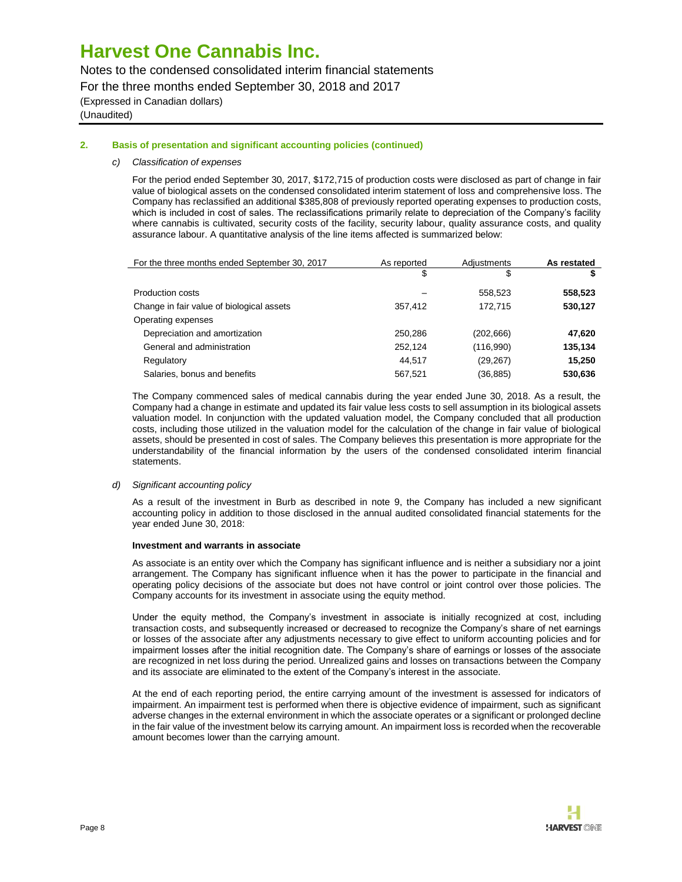Notes to the condensed consolidated interim financial statements

For the three months ended September 30, 2018 and 2017

(Expressed in Canadian dollars) (Unaudited)

### **2. Basis of presentation and significant accounting policies (continued)**

#### *c) Classification of expenses*

For the period ended September 30, 2017, \$172,715 of production costs were disclosed as part of change in fair value of biological assets on the condensed consolidated interim statement of loss and comprehensive loss. The Company has reclassified an additional \$385,808 of previously reported operating expenses to production costs, which is included in cost of sales. The reclassifications primarily relate to depreciation of the Company's facility where cannabis is cultivated, security costs of the facility, security labour, quality assurance costs, and quality assurance labour. A quantitative analysis of the line items affected is summarized below:

| For the three months ended September 30, 2017 | As reported | Adiustments | As restated |
|-----------------------------------------------|-------------|-------------|-------------|
|                                               | \$          | \$          |             |
| Production costs                              |             | 558,523     | 558,523     |
| Change in fair value of biological assets     | 357,412     | 172.715     | 530,127     |
| Operating expenses                            |             |             |             |
| Depreciation and amortization                 | 250,286     | (202,666)   | 47,620      |
| General and administration                    | 252.124     | (116,990)   | 135,134     |
| Regulatory                                    | 44.517      | (29, 267)   | 15,250      |
| Salaries, bonus and benefits                  | 567.521     | (36, 885)   | 530,636     |

The Company commenced sales of medical cannabis during the year ended June 30, 2018. As a result, the Company had a change in estimate and updated its fair value less costs to sell assumption in its biological assets valuation model. In conjunction with the updated valuation model, the Company concluded that all production costs, including those utilized in the valuation model for the calculation of the change in fair value of biological assets, should be presented in cost of sales. The Company believes this presentation is more appropriate for the understandability of the financial information by the users of the condensed consolidated interim financial statements.

#### *d) Significant accounting policy*

As a result of the investment in Burb as described in note 9, the Company has included a new significant accounting policy in addition to those disclosed in the annual audited consolidated financial statements for the year ended June 30, 2018:

#### **Investment and warrants in associate**

As associate is an entity over which the Company has significant influence and is neither a subsidiary nor a joint arrangement. The Company has significant influence when it has the power to participate in the financial and operating policy decisions of the associate but does not have control or joint control over those policies. The Company accounts for its investment in associate using the equity method.

Under the equity method, the Company's investment in associate is initially recognized at cost, including transaction costs, and subsequently increased or decreased to recognize the Company's share of net earnings or losses of the associate after any adjustments necessary to give effect to uniform accounting policies and for impairment losses after the initial recognition date. The Company's share of earnings or losses of the associate are recognized in net loss during the period. Unrealized gains and losses on transactions between the Company and its associate are eliminated to the extent of the Company's interest in the associate.

At the end of each reporting period, the entire carrying amount of the investment is assessed for indicators of impairment. An impairment test is performed when there is objective evidence of impairment, such as significant adverse changes in the external environment in which the associate operates or a significant or prolonged decline in the fair value of the investment below its carrying amount. An impairment loss is recorded when the recoverable amount becomes lower than the carrying amount.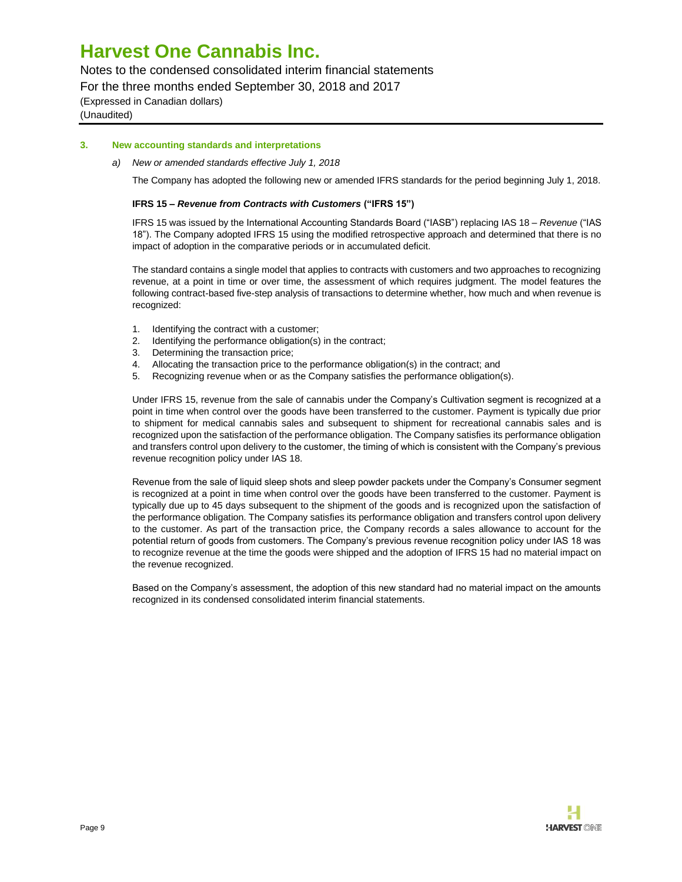Notes to the condensed consolidated interim financial statements

For the three months ended September 30, 2018 and 2017

(Expressed in Canadian dollars) (Unaudited)

**3. New accounting standards and interpretations**

*a) New or amended standards effective July 1, 2018*

The Company has adopted the following new or amended IFRS standards for the period beginning July 1, 2018.

### **IFRS 15 –** *Revenue from Contracts with Customers* **("IFRS 15")**

IFRS 15 was issued by the International Accounting Standards Board ("IASB") replacing IAS 18 – *Revenue* ("IAS 18"). The Company adopted IFRS 15 using the modified retrospective approach and determined that there is no impact of adoption in the comparative periods or in accumulated deficit.

The standard contains a single model that applies to contracts with customers and two approaches to recognizing revenue, at a point in time or over time, the assessment of which requires judgment. The model features the following contract-based five-step analysis of transactions to determine whether, how much and when revenue is recognized:

- 1. Identifying the contract with a customer;
- 2. Identifying the performance obligation(s) in the contract;
- 3. Determining the transaction price;
- 4. Allocating the transaction price to the performance obligation(s) in the contract; and
- 5. Recognizing revenue when or as the Company satisfies the performance obligation(s).

Under IFRS 15, revenue from the sale of cannabis under the Company's Cultivation segment is recognized at a point in time when control over the goods have been transferred to the customer. Payment is typically due prior to shipment for medical cannabis sales and subsequent to shipment for recreational cannabis sales and is recognized upon the satisfaction of the performance obligation. The Company satisfies its performance obligation and transfers control upon delivery to the customer, the timing of which is consistent with the Company's previous revenue recognition policy under IAS 18.

Revenue from the sale of liquid sleep shots and sleep powder packets under the Company's Consumer segment is recognized at a point in time when control over the goods have been transferred to the customer. Payment is typically due up to 45 days subsequent to the shipment of the goods and is recognized upon the satisfaction of the performance obligation. The Company satisfies its performance obligation and transfers control upon delivery to the customer. As part of the transaction price, the Company records a sales allowance to account for the potential return of goods from customers. The Company's previous revenue recognition policy under IAS 18 was to recognize revenue at the time the goods were shipped and the adoption of IFRS 15 had no material impact on the revenue recognized.

Based on the Company's assessment, the adoption of this new standard had no material impact on the amounts recognized in its condensed consolidated interim financial statements.

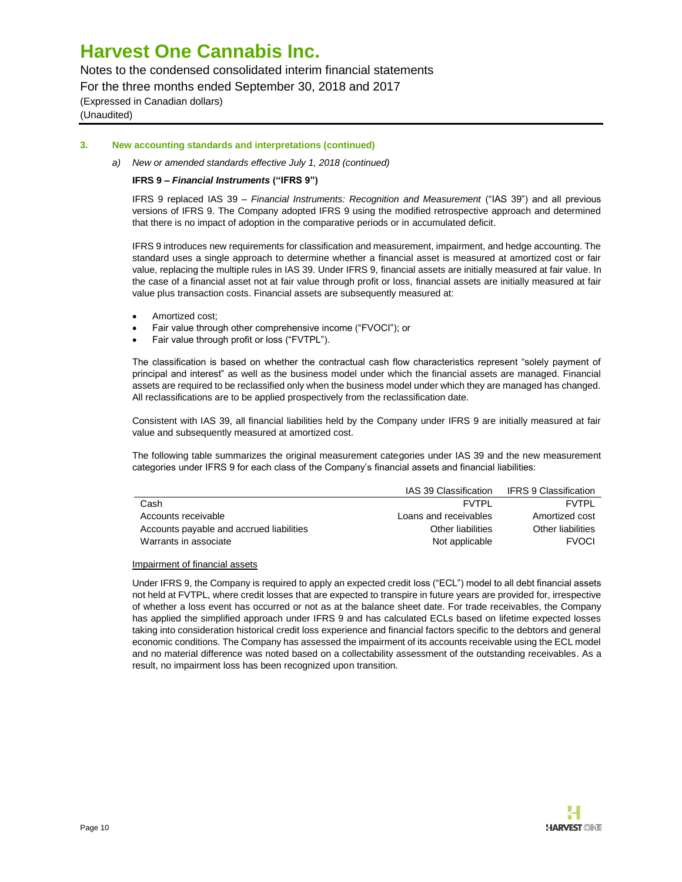Notes to the condensed consolidated interim financial statements

For the three months ended September 30, 2018 and 2017

(Expressed in Canadian dollars) (Unaudited)

### **3. New accounting standards and interpretations (continued)**

### *a) New or amended standards effective July 1, 2018 (continued)*

### **IFRS 9 –** *Financial Instruments* **("IFRS 9")**

IFRS 9 replaced IAS 39 – *Financial Instruments: Recognition and Measurement* ("IAS 39") and all previous versions of IFRS 9. The Company adopted IFRS 9 using the modified retrospective approach and determined that there is no impact of adoption in the comparative periods or in accumulated deficit.

IFRS 9 introduces new requirements for classification and measurement, impairment, and hedge accounting. The standard uses a single approach to determine whether a financial asset is measured at amortized cost or fair value, replacing the multiple rules in IAS 39. Under IFRS 9, financial assets are initially measured at fair value. In the case of a financial asset not at fair value through profit or loss, financial assets are initially measured at fair value plus transaction costs. Financial assets are subsequently measured at:

- Amortized cost;
- Fair value through other comprehensive income ("FVOCI"); or
- Fair value through profit or loss ("FVTPL").

The classification is based on whether the contractual cash flow characteristics represent "solely payment of principal and interest" as well as the business model under which the financial assets are managed. Financial assets are required to be reclassified only when the business model under which they are managed has changed. All reclassifications are to be applied prospectively from the reclassification date.

Consistent with IAS 39, all financial liabilities held by the Company under IFRS 9 are initially measured at fair value and subsequently measured at amortized cost.

The following table summarizes the original measurement categories under IAS 39 and the new measurement categories under IFRS 9 for each class of the Company's financial assets and financial liabilities:

|                                          | IAS 39 Classification | IFRS 9 Classification |
|------------------------------------------|-----------------------|-----------------------|
| Cash                                     | FVTPI                 | <b>FVTPI</b>          |
| Accounts receivable                      | Loans and receivables | Amortized cost        |
| Accounts payable and accrued liabilities | Other liabilities     | Other liabilities     |
| Warrants in associate                    | Not applicable        | <b>FVOCI</b>          |

#### Impairment of financial assets

Under IFRS 9, the Company is required to apply an expected credit loss ("ECL") model to all debt financial assets not held at FVTPL, where credit losses that are expected to transpire in future years are provided for, irrespective of whether a loss event has occurred or not as at the balance sheet date. For trade receivables, the Company has applied the simplified approach under IFRS 9 and has calculated ECLs based on lifetime expected losses taking into consideration historical credit loss experience and financial factors specific to the debtors and general economic conditions. The Company has assessed the impairment of its accounts receivable using the ECL model and no material difference was noted based on a collectability assessment of the outstanding receivables. As a result, no impairment loss has been recognized upon transition.

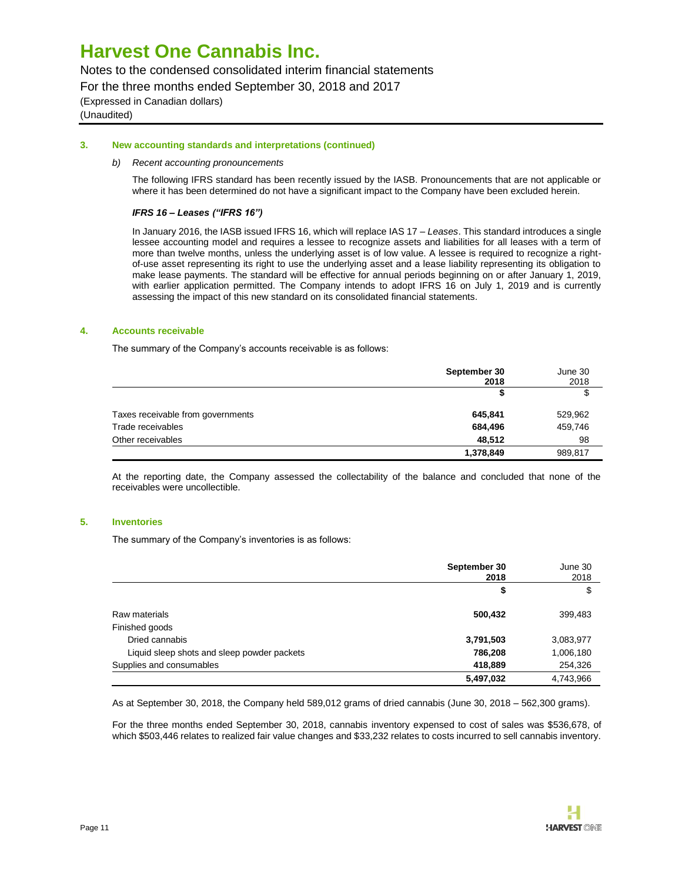Notes to the condensed consolidated interim financial statements

For the three months ended September 30, 2018 and 2017

(Expressed in Canadian dollars) (Unaudited)

### **3. New accounting standards and interpretations (continued)**

### *b) Recent accounting pronouncements*

The following IFRS standard has been recently issued by the IASB. Pronouncements that are not applicable or where it has been determined do not have a significant impact to the Company have been excluded herein.

### *IFRS 16* **–** *Leases ("IFRS 16")*

In January 2016, the IASB issued IFRS 16, which will replace IAS 17 – *Leases*. This standard introduces a single lessee accounting model and requires a lessee to recognize assets and liabilities for all leases with a term of more than twelve months, unless the underlying asset is of low value. A lessee is required to recognize a rightof-use asset representing its right to use the underlying asset and a lease liability representing its obligation to make lease payments. The standard will be effective for annual periods beginning on or after January 1, 2019, with earlier application permitted. The Company intends to adopt IFRS 16 on July 1, 2019 and is currently assessing the impact of this new standard on its consolidated financial statements.

### **4. Accounts receivable**

The summary of the Company's accounts receivable is as follows:

|                                   | September 30<br>2018 | June 30<br>2018 |
|-----------------------------------|----------------------|-----------------|
|                                   |                      | \$              |
| Taxes receivable from governments | 645,841              | 529,962         |
| Trade receivables                 | 684,496              | 459,746         |
| Other receivables                 | 48,512               | 98              |
|                                   | 1,378,849            | 989,817         |

At the reporting date, the Company assessed the collectability of the balance and concluded that none of the receivables were uncollectible.

#### **5. Inventories**

The summary of the Company's inventories is as follows:

|                                             | September 30<br>2018 | June 30<br>2018 |
|---------------------------------------------|----------------------|-----------------|
|                                             | \$                   | \$              |
| Raw materials                               | 500,432              | 399,483         |
| Finished goods                              |                      |                 |
| Dried cannabis                              | 3,791,503            | 3,083,977       |
| Liquid sleep shots and sleep powder packets | 786,208              | 1,006,180       |
| Supplies and consumables                    | 418,889              | 254,326         |
|                                             | 5,497,032            | 4,743,966       |

As at September 30, 2018, the Company held 589,012 grams of dried cannabis (June 30, 2018 – 562,300 grams).

For the three months ended September 30, 2018, cannabis inventory expensed to cost of sales was \$536,678, of which \$503,446 relates to realized fair value changes and \$33,232 relates to costs incurred to sell cannabis inventory.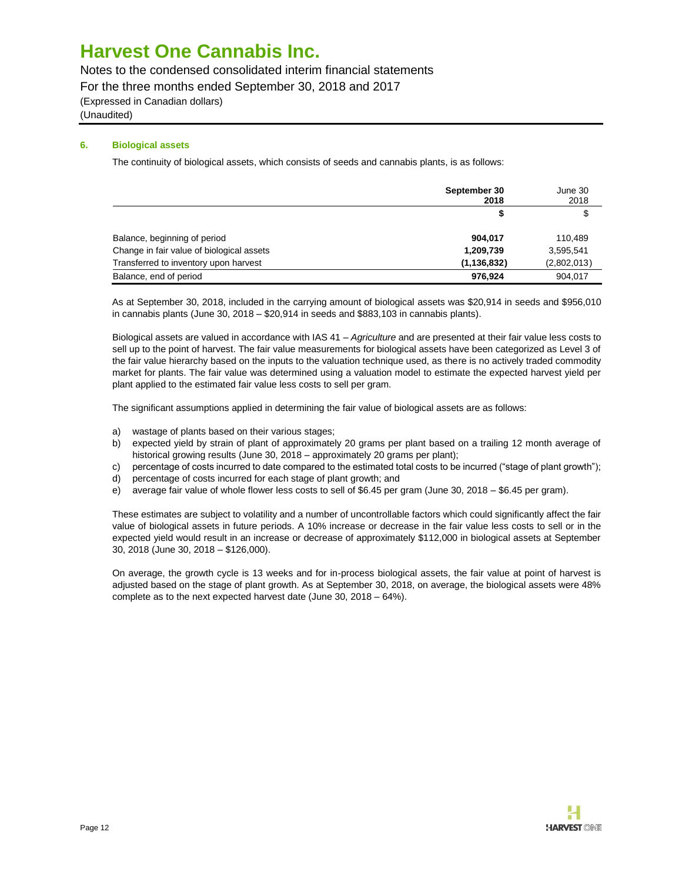Notes to the condensed consolidated interim financial statements

For the three months ended September 30, 2018 and 2017

(Expressed in Canadian dollars)

(Unaudited)

### **6. Biological assets**

The continuity of biological assets, which consists of seeds and cannabis plants, is as follows:

|                                           | September 30<br>2018 | June 30<br>2018 |
|-------------------------------------------|----------------------|-----------------|
|                                           |                      | S               |
| Balance, beginning of period              | 904.017              | 110.489         |
| Change in fair value of biological assets | 1,209,739            | 3,595,541       |
| Transferred to inventory upon harvest     | (1, 136, 832)        | (2,802,013)     |
| Balance, end of period                    | 976.924              | 904,017         |

As at September 30, 2018, included in the carrying amount of biological assets was \$20,914 in seeds and \$956,010 in cannabis plants (June 30, 2018 – \$20,914 in seeds and \$883,103 in cannabis plants).

Biological assets are valued in accordance with IAS 41 – *Agriculture* and are presented at their fair value less costs to sell up to the point of harvest. The fair value measurements for biological assets have been categorized as Level 3 of the fair value hierarchy based on the inputs to the valuation technique used, as there is no actively traded commodity market for plants. The fair value was determined using a valuation model to estimate the expected harvest yield per plant applied to the estimated fair value less costs to sell per gram.

The significant assumptions applied in determining the fair value of biological assets are as follows:

- a) wastage of plants based on their various stages;
- b) expected yield by strain of plant of approximately 20 grams per plant based on a trailing 12 month average of historical growing results (June 30, 2018 – approximately 20 grams per plant);
- c) percentage of costs incurred to date compared to the estimated total costs to be incurred ("stage of plant growth");
- d) percentage of costs incurred for each stage of plant growth; and
- e) average fair value of whole flower less costs to sell of \$6.45 per gram (June 30, 2018 \$6.45 per gram).

These estimates are subject to volatility and a number of uncontrollable factors which could significantly affect the fair value of biological assets in future periods. A 10% increase or decrease in the fair value less costs to sell or in the expected yield would result in an increase or decrease of approximately \$112,000 in biological assets at September 30, 2018 (June 30, 2018 – \$126,000).

On average, the growth cycle is 13 weeks and for in-process biological assets, the fair value at point of harvest is adjusted based on the stage of plant growth. As at September 30, 2018, on average, the biological assets were 48% complete as to the next expected harvest date (June 30, 2018 – 64%).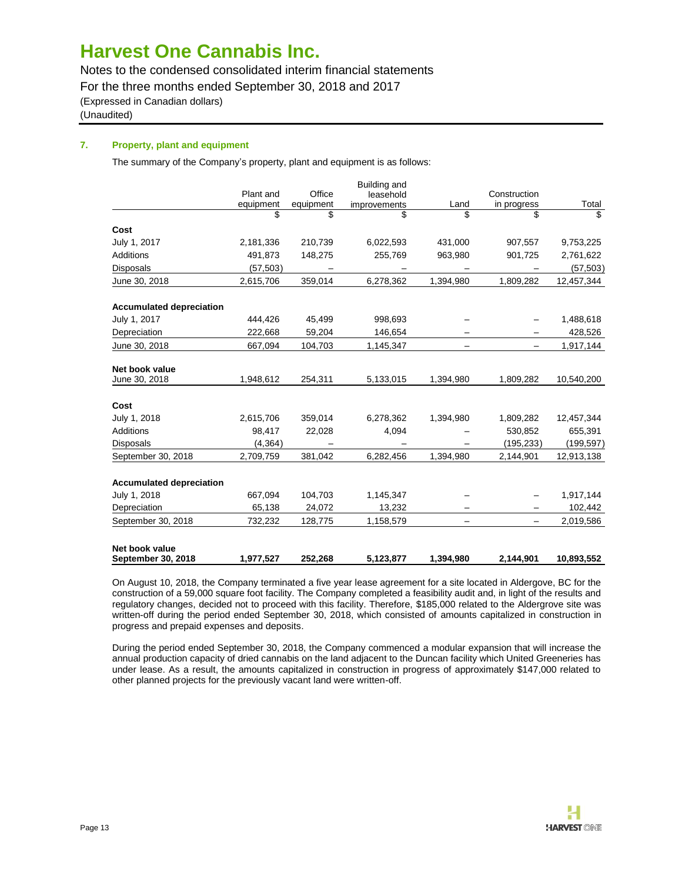Notes to the condensed consolidated interim financial statements

For the three months ended September 30, 2018 and 2017

(Expressed in Canadian dollars)

(Unaudited)

### **7. Property, plant and equipment**

The summary of the Company's property, plant and equipment is as follows:

|                                 |           |           | Building and |            |                   |             |
|---------------------------------|-----------|-----------|--------------|------------|-------------------|-------------|
|                                 | Plant and | Office    | leasehold    |            | Construction      |             |
|                                 | equipment | equipment | improvements | Land<br>\$ | in progress       | Total<br>\$ |
|                                 | \$        | \$        | \$           |            | \$                |             |
| Cost                            |           |           |              |            |                   |             |
| July 1, 2017                    | 2,181,336 | 210,739   | 6,022,593    | 431.000    | 907,557           | 9,753,225   |
| Additions                       | 491,873   | 148,275   | 255,769      | 963,980    | 901,725           | 2,761,622   |
| <b>Disposals</b>                | (57, 503) |           |              |            |                   | (57, 503)   |
| June 30, 2018                   | 2,615,706 | 359,014   | 6,278,362    | 1,394,980  | 1,809,282         | 12,457,344  |
| <b>Accumulated depreciation</b> |           |           |              |            |                   |             |
| July 1, 2017                    | 444,426   | 45,499    | 998,693      |            |                   | 1,488,618   |
| Depreciation                    | 222,668   | 59,204    | 146,654      |            |                   | 428,526     |
| June 30, 2018                   | 667,094   | 104,703   | 1,145,347    |            | —                 | 1,917,144   |
| Net book value                  |           |           |              |            |                   |             |
| June 30, 2018                   | 1,948,612 | 254,311   | 5,133,015    | 1,394,980  | 1,809,282         | 10,540,200  |
| Cost                            |           |           |              |            |                   |             |
| July 1, 2018                    | 2,615,706 | 359,014   | 6,278,362    | 1,394,980  | 1,809,282         | 12,457,344  |
| Additions                       | 98,417    | 22,028    | 4,094        |            | 530,852           | 655,391     |
| <b>Disposals</b>                | (4, 364)  |           |              |            | (195, 233)        | (199, 597)  |
| September 30, 2018              | 2,709,759 | 381,042   | 6,282,456    | 1,394,980  | 2,144,901         | 12,913,138  |
| <b>Accumulated depreciation</b> |           |           |              |            |                   |             |
| July 1, 2018                    | 667,094   | 104,703   | 1,145,347    |            |                   | 1,917,144   |
| Depreciation                    | 65,138    | 24,072    | 13,232       |            |                   | 102,442     |
| September 30, 2018              | 732,232   | 128,775   | 1,158,579    | —          | $\qquad \qquad -$ | 2,019,586   |
| Net book value                  |           |           |              |            |                   |             |
| September 30, 2018              | 1,977,527 | 252,268   | 5,123,877    | 1,394,980  | 2,144,901         | 10,893,552  |

On August 10, 2018, the Company terminated a five year lease agreement for a site located in Aldergove, BC for the construction of a 59,000 square foot facility. The Company completed a feasibility audit and, in light of the results and regulatory changes, decided not to proceed with this facility. Therefore, \$185,000 related to the Aldergrove site was written-off during the period ended September 30, 2018, which consisted of amounts capitalized in construction in progress and prepaid expenses and deposits.

During the period ended September 30, 2018, the Company commenced a modular expansion that will increase the annual production capacity of dried cannabis on the land adjacent to the Duncan facility which United Greeneries has under lease. As a result, the amounts capitalized in construction in progress of approximately \$147,000 related to other planned projects for the previously vacant land were written-off.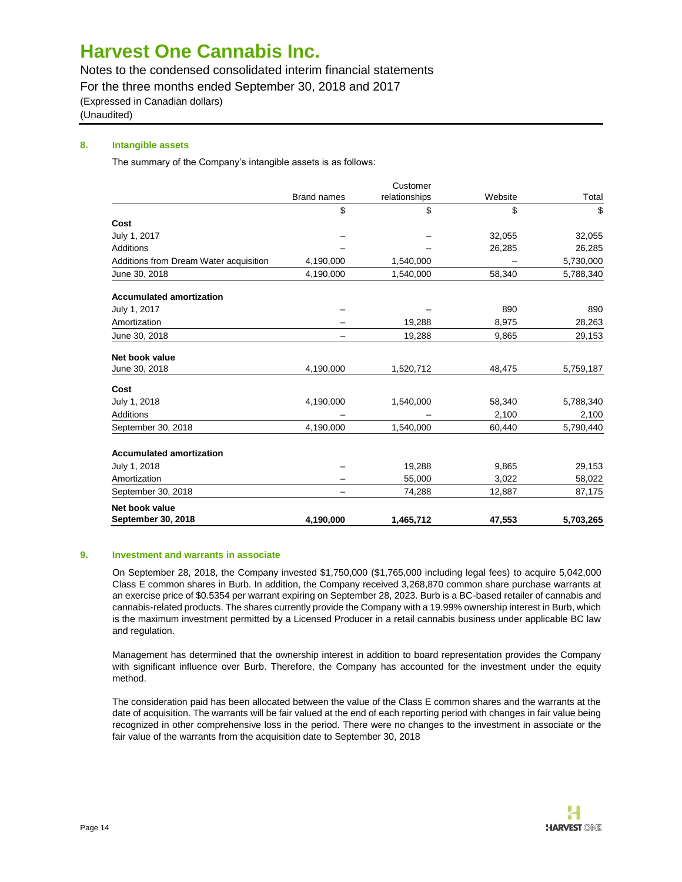Notes to the condensed consolidated interim financial statements

For the three months ended September 30, 2018 and 2017

(Expressed in Canadian dollars)

(Unaudited)

### **8. Intangible assets**

The summary of the Company's intangible assets is as follows:

|                                        |                    | Customer      |         |           |
|----------------------------------------|--------------------|---------------|---------|-----------|
|                                        | <b>Brand names</b> | relationships | Website | Total     |
|                                        | \$                 | \$            | \$      | \$        |
| Cost                                   |                    |               |         |           |
| July 1, 2017                           |                    |               | 32,055  | 32,055    |
| Additions                              |                    |               | 26,285  | 26,285    |
| Additions from Dream Water acquisition | 4,190,000          | 1,540,000     |         | 5,730,000 |
| June 30, 2018                          | 4,190,000          | 1,540,000     | 58,340  | 5,788,340 |
| <b>Accumulated amortization</b>        |                    |               |         |           |
| July 1, 2017                           |                    |               | 890     | 890       |
| Amortization                           |                    | 19,288        | 8,975   | 28,263    |
| June 30, 2018                          |                    | 19,288        | 9,865   | 29,153    |
| Net book value                         |                    |               |         |           |
| June 30, 2018                          | 4,190,000          | 1,520,712     | 48,475  | 5,759,187 |
| Cost                                   |                    |               |         |           |
| July 1, 2018                           | 4,190,000          | 1,540,000     | 58,340  | 5,788,340 |
| Additions                              |                    |               | 2,100   | 2,100     |
| September 30, 2018                     | 4,190,000          | 1,540,000     | 60,440  | 5,790,440 |
| <b>Accumulated amortization</b>        |                    |               |         |           |
| July 1, 2018                           |                    | 19,288        | 9,865   | 29,153    |
| Amortization                           |                    | 55,000        | 3,022   | 58,022    |
| September 30, 2018                     |                    | 74,288        | 12,887  | 87,175    |
| Net book value                         |                    |               |         |           |
| September 30, 2018                     | 4,190,000          | 1,465,712     | 47,553  | 5,703,265 |

### **9. Investment and warrants in associate**

On September 28, 2018, the Company invested \$1,750,000 (\$1,765,000 including legal fees) to acquire 5,042,000 Class E common shares in Burb. In addition, the Company received 3,268,870 common share purchase warrants at an exercise price of \$0.5354 per warrant expiring on September 28, 2023. Burb is a BC-based retailer of cannabis and cannabis-related products. The shares currently provide the Company with a 19.99% ownership interest in Burb, which is the maximum investment permitted by a Licensed Producer in a retail cannabis business under applicable BC law and regulation.

Management has determined that the ownership interest in addition to board representation provides the Company with significant influence over Burb. Therefore, the Company has accounted for the investment under the equity method.

The consideration paid has been allocated between the value of the Class E common shares and the warrants at the date of acquisition. The warrants will be fair valued at the end of each reporting period with changes in fair value being recognized in other comprehensive loss in the period. There were no changes to the investment in associate or the fair value of the warrants from the acquisition date to September 30, 2018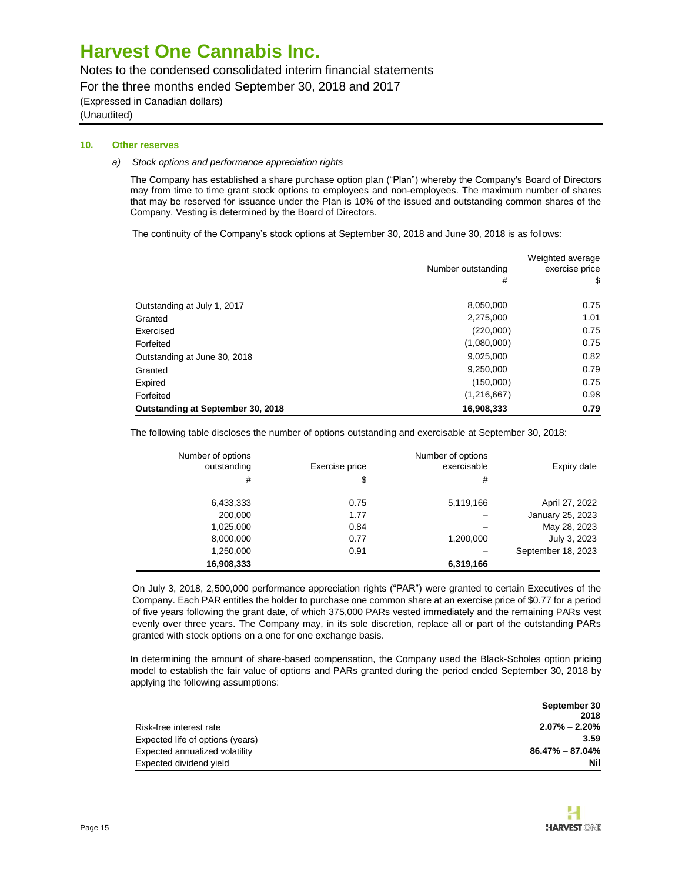Notes to the condensed consolidated interim financial statements

For the three months ended September 30, 2018 and 2017

(Expressed in Canadian dollars)

(Unaudited)

#### **10. Other reserves**

### *a) Stock options and performance appreciation rights*

The Company has established a share purchase option plan ("Plan") whereby the Company's Board of Directors may from time to time grant stock options to employees and non-employees. The maximum number of shares that may be reserved for issuance under the Plan is 10% of the issued and outstanding common shares of the Company. Vesting is determined by the Board of Directors.

The continuity of the Company's stock options at September 30, 2018 and June 30, 2018 is as follows:

|                                   |                    | Weighted average |
|-----------------------------------|--------------------|------------------|
|                                   | Number outstanding | exercise price   |
|                                   | #                  | S                |
| Outstanding at July 1, 2017       | 8,050,000          | 0.75             |
| Granted                           | 2,275,000          | 1.01             |
| Exercised                         | (220,000)          | 0.75             |
| Forfeited                         | (1,080,000)        | 0.75             |
| Outstanding at June 30, 2018      | 9,025,000          | 0.82             |
| Granted                           | 9,250,000          | 0.79             |
| Expired                           | (150,000)          | 0.75             |
| Forfeited                         | (1,216,667)        | 0.98             |
| Outstanding at September 30, 2018 | 16,908,333         | 0.79             |

The following table discloses the number of options outstanding and exercisable at September 30, 2018:

| Number of options |                | Number of options |                    |
|-------------------|----------------|-------------------|--------------------|
| outstanding       | Exercise price | exercisable       | Expiry date        |
| #                 | \$             | #                 |                    |
|                   |                |                   |                    |
| 6,433,333         | 0.75           | 5,119,166         | April 27, 2022     |
| 200,000           | 1.77           |                   | January 25, 2023   |
| 1,025,000         | 0.84           |                   | May 28, 2023       |
| 8,000,000         | 0.77           | 1,200,000         | July 3, 2023       |
| 1,250,000         | 0.91           |                   | September 18, 2023 |
| 16,908,333        |                | 6,319,166         |                    |

On July 3, 2018, 2,500,000 performance appreciation rights ("PAR") were granted to certain Executives of the Company. Each PAR entitles the holder to purchase one common share at an exercise price of \$0.77 for a period of five years following the grant date, of which 375,000 PARs vested immediately and the remaining PARs vest evenly over three years. The Company may, in its sole discretion, replace all or part of the outstanding PARs granted with stock options on a one for one exchange basis.

In determining the amount of share-based compensation, the Company used the Black-Scholes option pricing model to establish the fair value of options and PARs granted during the period ended September 30, 2018 by applying the following assumptions:

|                                  | September 30      |
|----------------------------------|-------------------|
|                                  | 2018              |
| Risk-free interest rate          | $2.07\% - 2.20\%$ |
| Expected life of options (years) | 3.59              |
| Expected annualized volatility   | 86.47% – 87.04%   |
| Expected dividend yield          | Nil               |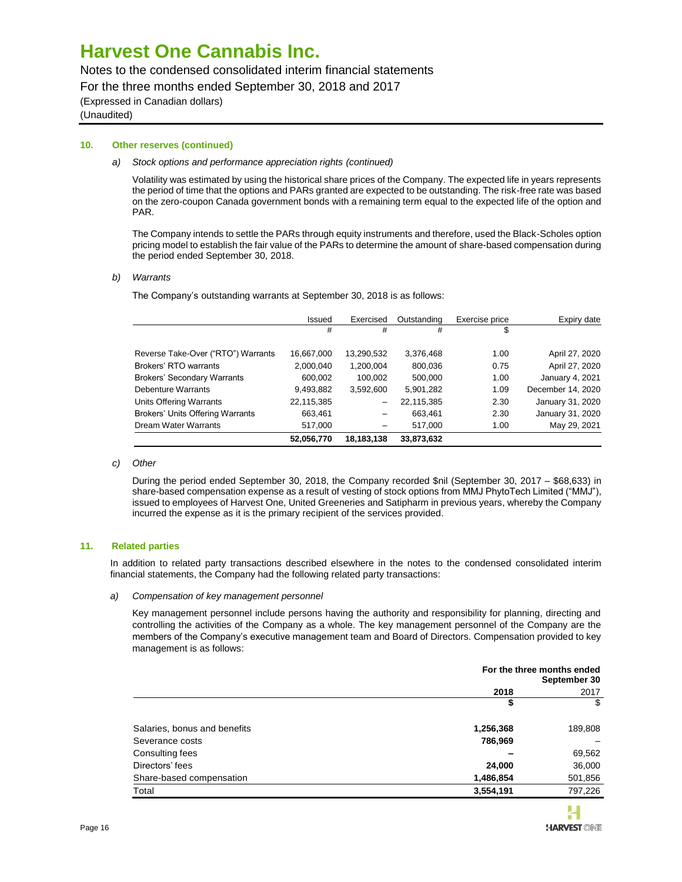### Notes to the condensed consolidated interim financial statements

For the three months ended September 30, 2018 and 2017

(Expressed in Canadian dollars)

(Unaudited)

### **10. Other reserves (continued)**

#### *a) Stock options and performance appreciation rights (continued)*

Volatility was estimated by using the historical share prices of the Company. The expected life in years represents the period of time that the options and PARs granted are expected to be outstanding. The risk-free rate was based on the zero-coupon Canada government bonds with a remaining term equal to the expected life of the option and PAR.

The Company intends to settle the PARs through equity instruments and therefore, used the Black-Scholes option pricing model to establish the fair value of the PARs to determine the amount of share-based compensation during the period ended September 30, 2018.

### *b) Warrants*

The Company's outstanding warrants at September 30, 2018 is as follows:

|                                         | Issued     | Exercised       | Outstanding | Exercise price | Expiry date       |
|-----------------------------------------|------------|-----------------|-------------|----------------|-------------------|
|                                         | #          | #               | #           | \$             |                   |
|                                         |            |                 |             |                |                   |
| Reverse Take-Over ("RTO") Warrants      | 16,667,000 | 13,290,532      | 3,376,468   | 1.00           | April 27, 2020    |
| Brokers' RTO warrants                   | 2,000,040  | 1,200,004       | 800,036     | 0.75           | April 27, 2020    |
| <b>Brokers' Secondary Warrants</b>      | 600,002    | 100.002         | 500.000     | 1.00           | January 4, 2021   |
| Debenture Warrants                      | 9,493,882  | 3,592,600       | 5,901,282   | 1.09           | December 14, 2020 |
| Units Offering Warrants                 | 22,115,385 | $\qquad \qquad$ | 22,115,385  | 2.30           | January 31, 2020  |
| <b>Brokers' Units Offering Warrants</b> | 663,461    |                 | 663,461     | 2.30           | January 31, 2020  |
| <b>Dream Water Warrants</b>             | 517,000    |                 | 517,000     | 1.00           | May 29, 2021      |
|                                         | 52,056,770 | 18,183,138      | 33,873,632  |                |                   |

#### *c) Other*

During the period ended September 30, 2018, the Company recorded \$nil (September 30, 2017 – \$68,633) in share-based compensation expense as a result of vesting of stock options from MMJ PhytoTech Limited ("MMJ"), issued to employees of Harvest One, United Greeneries and Satipharm in previous years, whereby the Company incurred the expense as it is the primary recipient of the services provided.

### **11. Related parties**

In addition to related party transactions described elsewhere in the notes to the condensed consolidated interim financial statements, the Company had the following related party transactions:

#### *a) Compensation of key management personnel*

Key management personnel include persons having the authority and responsibility for planning, directing and controlling the activities of the Company as a whole. The key management personnel of the Company are the members of the Company's executive management team and Board of Directors. Compensation provided to key management is as follows:

|                              | For the three months ended<br>September 30 |         |  |
|------------------------------|--------------------------------------------|---------|--|
|                              | 2018                                       |         |  |
|                              | \$                                         | \$      |  |
| Salaries, bonus and benefits | 1,256,368                                  | 189,808 |  |
| Severance costs              | 786,969                                    |         |  |
| Consulting fees              |                                            | 69,562  |  |
| Directors' fees              | 24,000                                     | 36,000  |  |
| Share-based compensation     | 1,486,854                                  | 501,856 |  |
| Total                        | 3,554,191                                  | 797,226 |  |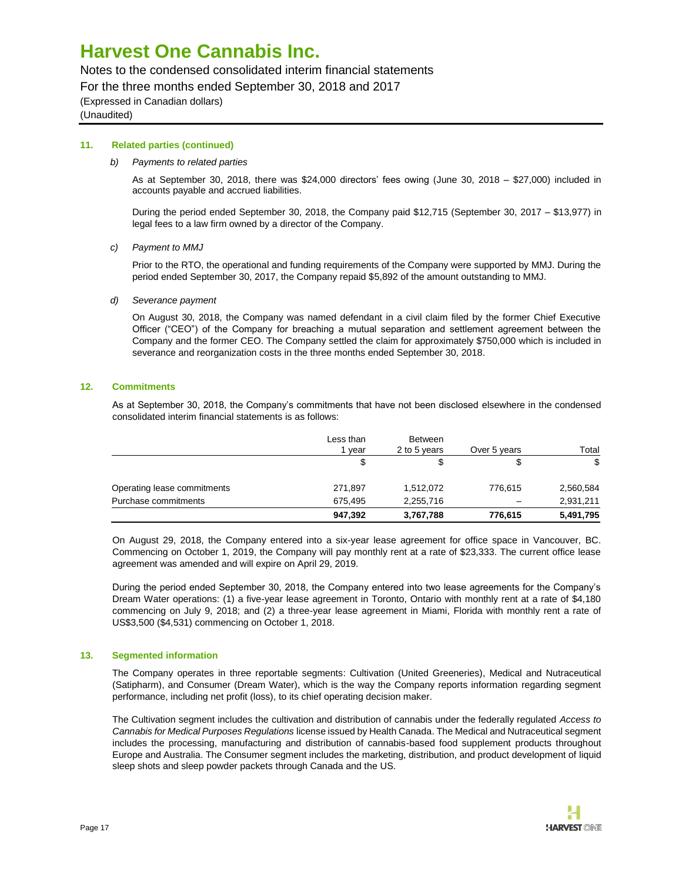### Notes to the condensed consolidated interim financial statements

For the three months ended September 30, 2018 and 2017

(Expressed in Canadian dollars)

(Unaudited)

### **11. Related parties (continued)**

### *b) Payments to related parties*

As at September 30, 2018, there was \$24,000 directors' fees owing (June 30, 2018 – \$27,000) included in accounts payable and accrued liabilities.

During the period ended September 30, 2018, the Company paid \$12,715 (September 30, 2017 – \$13,977) in legal fees to a law firm owned by a director of the Company.

*c) Payment to MMJ*

Prior to the RTO, the operational and funding requirements of the Company were supported by MMJ. During the period ended September 30, 2017, the Company repaid \$5,892 of the amount outstanding to MMJ.

*d) Severance payment*

On August 30, 2018, the Company was named defendant in a civil claim filed by the former Chief Executive Officer ("CEO") of the Company for breaching a mutual separation and settlement agreement between the Company and the former CEO. The Company settled the claim for approximately \$750,000 which is included in severance and reorganization costs in the three months ended September 30, 2018.

### **12. Commitments**

As at September 30, 2018, the Company's commitments that have not been disclosed elsewhere in the condensed consolidated interim financial statements is as follows:

|                             | Less than<br>vear | <b>Between</b><br>2 to 5 years | Over 5 years | Total     |
|-----------------------------|-------------------|--------------------------------|--------------|-----------|
|                             | \$                | \$                             | \$           | \$        |
| Operating lease commitments | 271,897           | 1,512,072                      | 776,615      | 2,560,584 |
| Purchase commitments        | 675.495           | 2,255,716                      |              | 2,931,211 |
|                             | 947,392           | 3,767,788                      | 776,615      | 5,491,795 |

On August 29, 2018, the Company entered into a six-year lease agreement for office space in Vancouver, BC. Commencing on October 1, 2019, the Company will pay monthly rent at a rate of \$23,333. The current office lease agreement was amended and will expire on April 29, 2019.

During the period ended September 30, 2018, the Company entered into two lease agreements for the Company's Dream Water operations: (1) a five-year lease agreement in Toronto, Ontario with monthly rent at a rate of \$4,180 commencing on July 9, 2018; and (2) a three-year lease agreement in Miami, Florida with monthly rent a rate of US\$3,500 (\$4,531) commencing on October 1, 2018.

### **13. Segmented information**

The Company operates in three reportable segments: Cultivation (United Greeneries), Medical and Nutraceutical (Satipharm), and Consumer (Dream Water), which is the way the Company reports information regarding segment performance, including net profit (loss), to its chief operating decision maker.

The Cultivation segment includes the cultivation and distribution of cannabis under the federally regulated *Access to Cannabis for Medical Purposes Regulations* license issued by Health Canada. The Medical and Nutraceutical segment includes the processing, manufacturing and distribution of cannabis-based food supplement products throughout Europe and Australia. The Consumer segment includes the marketing, distribution, and product development of liquid sleep shots and sleep powder packets through Canada and the US.

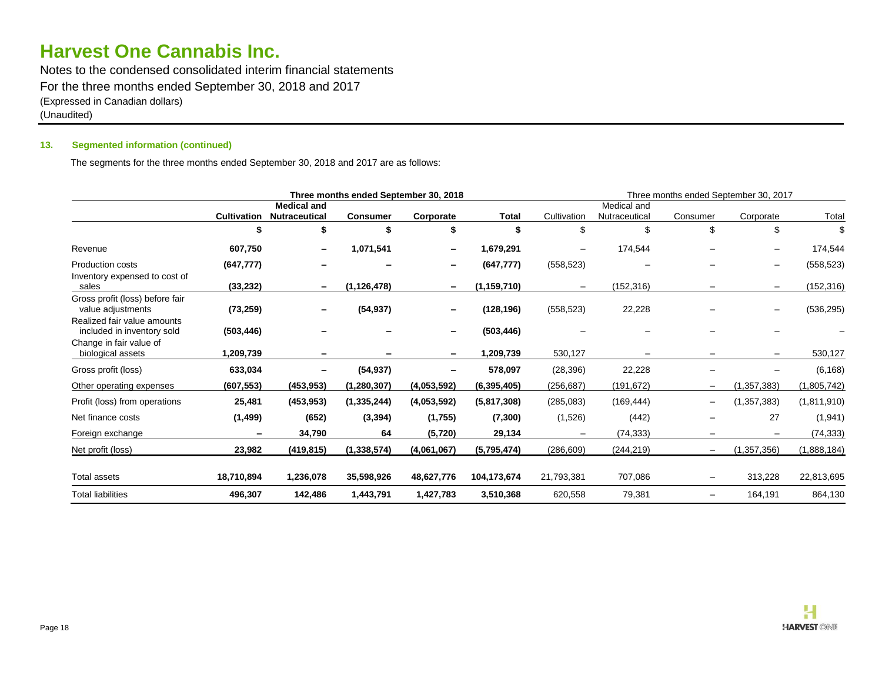Notes to the condensed consolidated interim financial statements For the three months ended September 30, 2018 and 2017 (Expressed in Canadian dollars) (Unaudited)

### **13. Segmented information (continued)**

The segments for the three months ended September 30, 2018 and 2017 are as follows:

| Three months ended September 30, 2018                     |                    |                                            |                 | Three months ended September 30, 2017 |               |                   |                              |                          |                          |             |
|-----------------------------------------------------------|--------------------|--------------------------------------------|-----------------|---------------------------------------|---------------|-------------------|------------------------------|--------------------------|--------------------------|-------------|
|                                                           | <b>Cultivation</b> | <b>Medical and</b><br><b>Nutraceutical</b> | <b>Consumer</b> | Corporate                             | Total         | Cultivation       | Medical and<br>Nutraceutical | Consumer                 | Corporate                | Total       |
|                                                           | S                  | \$                                         |                 |                                       |               | \$                |                              | \$                       | \$                       | \$          |
| Revenue                                                   | 607,750            | $\overline{\phantom{a}}$                   | 1,071,541       |                                       | 1,679,291     | $\qquad \qquad -$ | 174,544                      |                          | $\overline{\phantom{m}}$ | 174,544     |
| <b>Production costs</b><br>Inventory expensed to cost of  | (647, 777)         |                                            |                 |                                       | (647, 777)    | (558, 523)        |                              |                          | $\overline{\phantom{m}}$ | (558, 523)  |
| sales                                                     | (33,232)           | $\overline{\phantom{a}}$                   | (1, 126, 478)   | -                                     | (1, 159, 710) | $\qquad \qquad -$ | (152, 316)                   | $\overline{\phantom{0}}$ | $\qquad \qquad -$        | (152, 316)  |
| Gross profit (loss) before fair<br>value adjustments      | (73, 259)          | -                                          | (54, 937)       |                                       | (128, 196)    | (558, 523)        | 22,228                       |                          | $\overline{\phantom{m}}$ | (536, 295)  |
| Realized fair value amounts<br>included in inventory sold | (503, 446)         |                                            |                 |                                       | (503, 446)    |                   |                              |                          |                          |             |
| Change in fair value of<br>biological assets              | 1,209,739          |                                            |                 |                                       | 1,209,739     | 530,127           |                              |                          |                          | 530,127     |
| Gross profit (loss)                                       | 633,034            | -                                          | (54, 937)       |                                       | 578,097       | (28, 396)         | 22,228                       |                          |                          | (6, 168)    |
| Other operating expenses                                  | (607, 553)         | (453, 953)                                 | (1,280,307)     | (4,053,592)                           | (6, 395, 405) | (256, 687)        | (191, 672)                   |                          | (1, 357, 383)            | (1,805,742) |
| Profit (loss) from operations                             | 25,481             | (453, 953)                                 | (1, 335, 244)   | (4,053,592)                           | (5,817,308)   | (285,083)         | (169, 444)                   | —                        | (1, 357, 383)            | (1,811,910) |
| Net finance costs                                         | (1, 499)           | (652)                                      | (3, 394)        | (1,755)                               | (7, 300)      | (1,526)           | (442)                        |                          | 27                       | (1, 941)    |
| Foreign exchange                                          |                    | 34,790                                     | 64              | (5, 720)                              | 29,134        |                   | (74, 333)                    |                          | $\overline{\phantom{m}}$ | (74,333)    |
| Net profit (loss)                                         | 23,982             | (419, 815)                                 | (1, 338, 574)   | (4,061,067)                           | (5,795,474)   | (286, 609)        | (244, 219)                   | —                        | (1,357,356)              | (1,888,184) |
| <b>Total assets</b>                                       | 18,710,894         | 1,236,078                                  | 35,598,926      | 48,627,776                            | 104,173,674   | 21,793,381        | 707,086                      | —                        | 313,228                  | 22,813,695  |
| <b>Total liabilities</b>                                  | 496,307            | 142,486                                    | 1,443,791       | 1,427,783                             | 3,510,368     | 620,558           | 79,381                       | —                        | 164,191                  | 864,130     |